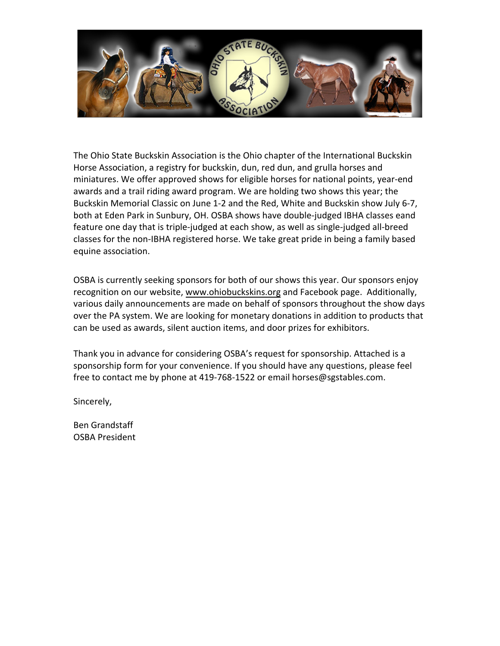

The Ohio State Buckskin Association is the Ohio chapter of the International Buckskin Horse Association, a registry for buckskin, dun, red dun, and grulla horses and miniatures. We offer approved shows for eligible horses for national points, year-end awards and a trail riding award program. We are holding two shows this year; the Buckskin Memorial Classic on June 1-2 and the Red, White and Buckskin show July 6-7, both at Eden Park in Sunbury, OH. OSBA shows have double-judged IBHA classes eand feature one day that is triple-judged at each show, as well as single-judged all-breed classes for the non-IBHA registered horse. We take great pride in being a family based equine association.

OSBA is currently seeking sponsors for both of our shows this year. Our sponsors enjoy recognition on our website, [www.ohiobuckskins.org](http://www.ohiobuckskins.org/) and Facebook page. Additionally, various daily announcements are made on behalf of sponsors throughout the show days over the PA system. We are looking for monetary donations in addition to products that can be used as awards, silent auction items, and door prizes for exhibitors.

Thank you in advance for considering OSBA's request for sponsorship. Attached is a sponsorship form for your convenience. If you should have any questions, please feel free to contact me by phone at 419-768-1522 or email horses@sgstables.com.

Sincerely,

Ben Grandstaff OSBA President